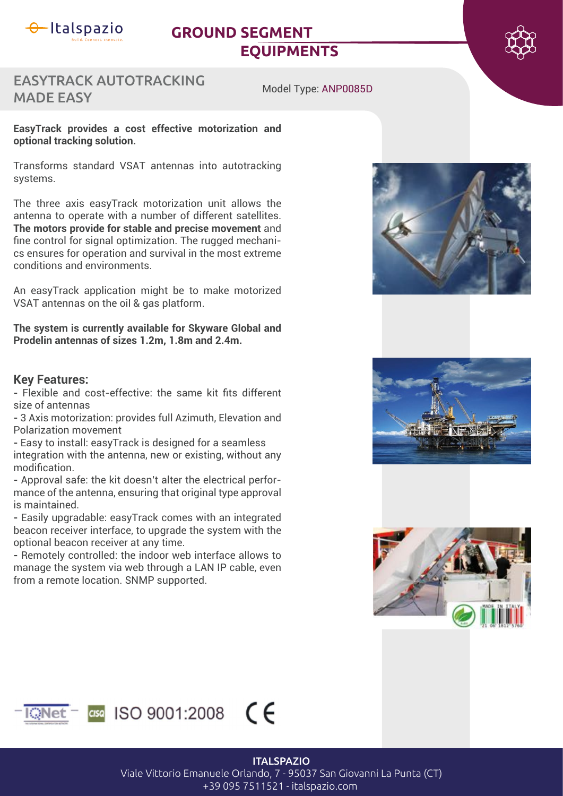

# **GROUND SEGMENT EQUIPMENTS**



## EASYTRACK AUTOTRACKING MADE EASY

Model Type: ANP0085D

#### **EasyTrack provides a cost effective motorization and optional tracking solution.**

Transforms standard VSAT antennas into autotracking systems.

The three axis easyTrack motorization unit allows the antenna to operate with a number of different satellites. **The motors provide for stable and precise movement** and fine control for signal optimization. The rugged mechanics ensures for operation and survival in the most extreme conditions and environments.

An easyTrack application might be to make motorized VSAT antennas on the oil & gas platform.

**The system is currently available for Skyware Global and Prodelin antennas of sizes 1.2m, 1.8m and 2.4m.**

#### **Key Features:**

- Flexible and cost-effective: the same kit fits different size of antennas

**-** 3 Axis motorization: provides full Azimuth, Elevation and Polarization movement

**-** Easy to install: easyTrack is designed for a seamless integration with the antenna, new or existing, without any modification

**-** Approval safe: the kit doesn't alter the electrical performance of the antenna, ensuring that original type approval is maintained.

**-** Easily upgradable: easyTrack comes with an integrated beacon receiver interface, to upgrade the system with the optional beacon receiver at any time.

**-** Remotely controlled: the indoor web interface allows to manage the system via web through a LAN IP cable, even from a remote location. SNMP supported.









#### **ITALSPAZIO**

Viale Vittorio Emanuele Orlando, 7 - 95037 San Giovanni La Punta (CT) +39 095 7511521 - italspazio.com